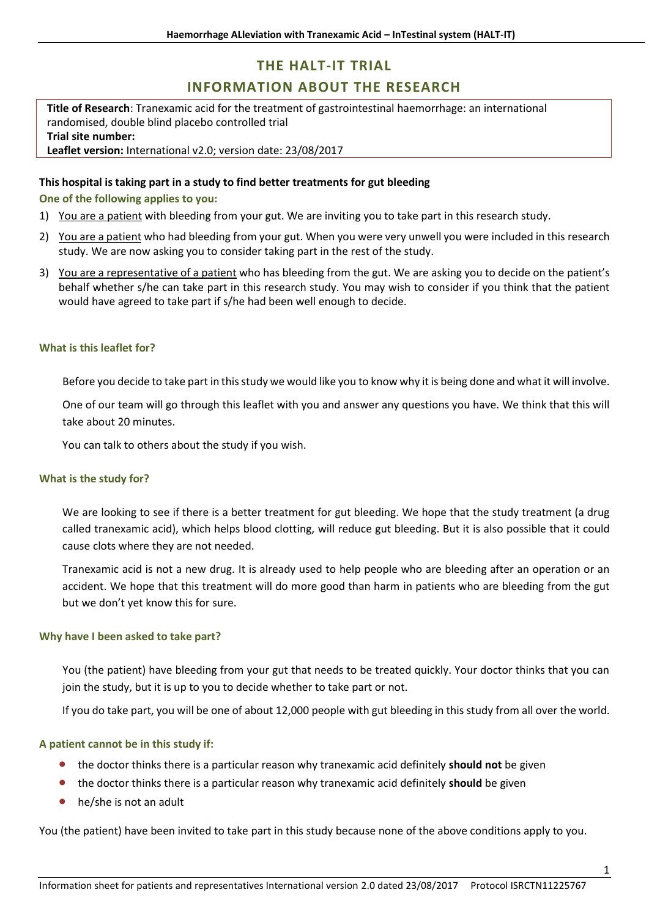# **THE HALT-IT TRIAL**

# **INFORMATION ABOUT THE RESEARCH**

**Title of Research**: Tranexamic acid for the treatment of gastrointestinal haemorrhage: an international randomised, double blind placebo controlled trial **Trial site number: Leaflet version:** International v2.0; version date: 23/08/2017

# **This hospital is taking part in a study to find better treatments for gut bleeding**

**One of the following applies to you:**

- 1) You are a patient with bleeding from your gut. We are inviting you to take part in this research study.
- 2) You are a patient who had bleeding from your gut. When you were very unwell you were included in this research study. We are now asking you to consider taking part in the rest of the study.
- 3) You are a representative of a patient who has bleeding from the gut. We are asking you to decide on the patient's behalf whether s/he can take part in this research study. You may wish to consider if you think that the patient would have agreed to take part if s/he had been well enough to decide.

# **What is this leaflet for?**

Before you decide to take part in this study we would like you to know why it is being done and what it will involve.

One of our team will go through this leaflet with you and answer any questions you have. We think that this will take about 20 minutes.

You can talk to others about the study if you wish.

#### **What is the study for?**

We are looking to see if there is a better treatment for gut bleeding. We hope that the study treatment (a drug called tranexamic acid), which helps blood clotting, will reduce gut bleeding. But it is also possible that it could cause clots where they are not needed.

Tranexamic acid is not a new drug. It is already used to help people who are bleeding after an operation or an accident. We hope that this treatment will do more good than harm in patients who are bleeding from the gut but we don't yet know this for sure.

#### **Why have I been asked to take part?**

You (the patient) have bleeding from your gut that needs to be treated quickly. Your doctor thinks that you can join the study, but it is up to you to decide whether to take part or not.

If you do take part, you will be one of about 12,000 people with gut bleeding in this study from all over the world.

# **A patient cannot be in this study if:**

- the doctor thinks there is a particular reason why tranexamic acid definitely **should not** be given
- the doctor thinks there is a particular reason why tranexamic acid definitely **should** be given
- he/she is not an adult

You (the patient) have been invited to take part in this study because none of the above conditions apply to you.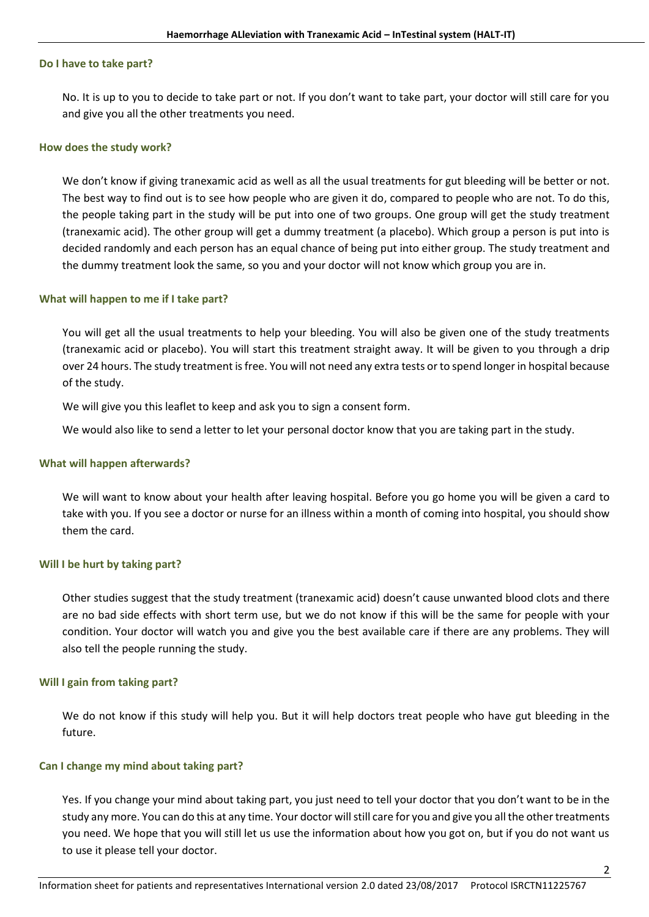#### **Do I have to take part?**

No. It is up to you to decide to take part or not. If you don't want to take part, your doctor will still care for you and give you all the other treatments you need.

# **How does the study work?**

We don't know if giving tranexamic acid as well as all the usual treatments for gut bleeding will be better or not. The best way to find out is to see how people who are given it do, compared to people who are not. To do this, the people taking part in the study will be put into one of two groups. One group will get the study treatment (tranexamic acid). The other group will get a dummy treatment (a placebo). Which group a person is put into is decided randomly and each person has an equal chance of being put into either group. The study treatment and the dummy treatment look the same, so you and your doctor will not know which group you are in.

# **What will happen to me if I take part?**

You will get all the usual treatments to help your bleeding. You will also be given one of the study treatments (tranexamic acid or placebo). You will start this treatment straight away. It will be given to you through a drip over 24 hours. The study treatment is free. You will not need any extra tests or to spend longer in hospital because of the study.

We will give you this leaflet to keep and ask you to sign a consent form.

We would also like to send a letter to let your personal doctor know that you are taking part in the study.

#### **What will happen afterwards?**

We will want to know about your health after leaving hospital. Before you go home you will be given a card to take with you. If you see a doctor or nurse for an illness within a month of coming into hospital, you should show them the card.

# **Will I be hurt by taking part?**

Other studies suggest that the study treatment (tranexamic acid) doesn't cause unwanted blood clots and there are no bad side effects with short term use, but we do not know if this will be the same for people with your condition. Your doctor will watch you and give you the best available care if there are any problems. They will also tell the people running the study.

#### **Will I gain from taking part?**

We do not know if this study will help you. But it will help doctors treat people who have gut bleeding in the future.

#### **Can I change my mind about taking part?**

Yes. If you change your mind about taking part, you just need to tell your doctor that you don't want to be in the study any more. You can do this at any time. Your doctor will still care for you and give you all the other treatments you need. We hope that you will still let us use the information about how you got on, but if you do not want us to use it please tell your doctor.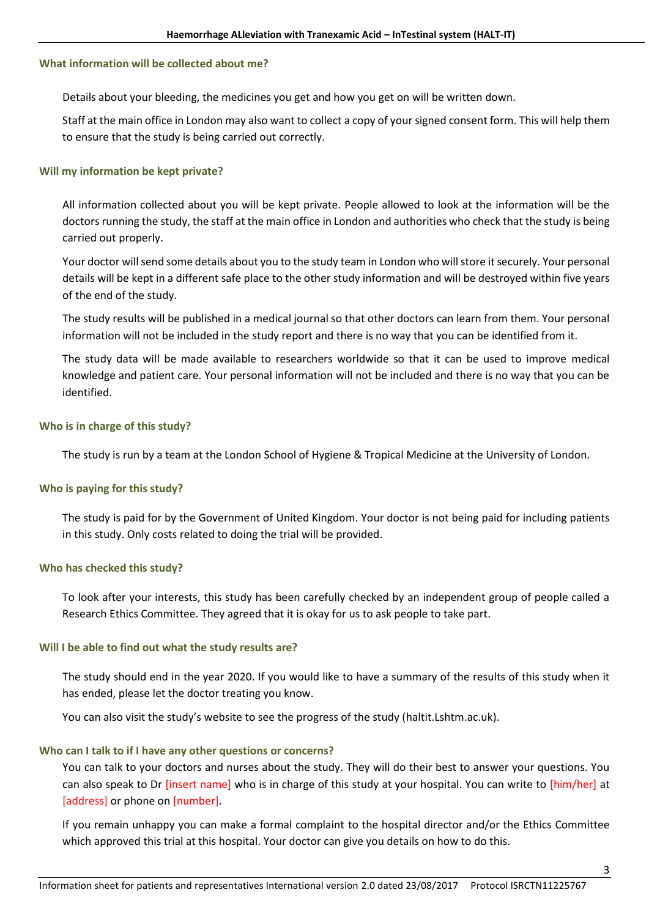# **What information will be collected about me?**

Details about your bleeding, the medicines you get and how you get on will be written down.

Staff at the main office in London may also want to collect a copy of your signed consent form. This will help them to ensure that the study is being carried out correctly.

# **Will my information be kept private?**

All information collected about you will be kept private. People allowed to look at the information will be the doctors running the study, the staff at the main office in London and authorities who check that the study is being carried out properly.

Your doctor will send some details about you to the study team in London who will store it securely. Your personal details will be kept in a different safe place to the other study information and will be destroyed within five years of the end of the study.

The study results will be published in a medical journal so that other doctors can learn from them. Your personal information will not be included in the study report and there is no way that you can be identified from it.

The study data will be made available to researchers worldwide so that it can be used to improve medical knowledge and patient care. Your personal information will not be included and there is no way that you can be identified.

# **Who is in charge of this study?**

The study is run by a team at the London School of Hygiene & Tropical Medicine at the University of London.

# **Who is paying for this study?**

The study is paid for by the Government of United Kingdom. Your doctor is not being paid for including patients in this study. Only costs related to doing the trial will be provided.

# **Who has checked this study?**

To look after your interests, this study has been carefully checked by an independent group of people called a Research Ethics Committee. They agreed that it is okay for us to ask people to take part.

# **Will I be able to find out what the study results are?**

The study should end in the year 2020. If you would like to have a summary of the results of this study when it has ended, please let the doctor treating you know.

You can also visit the study's website to see the progress of the study ([haltit.Lshtm.ac.uk\)](http://ctu4.lshtm.ac.uk/haltit).

# **Who can I talk to if I have any other questions or concerns?**

You can talk to your doctors and nurses about the study. They will do their best to answer your questions. You can also speak to Dr [insert name] who is in charge of this study at your hospital. You can write to [him/her] at [address] or phone on [number].

If you remain unhappy you can make a formal complaint to the hospital director and/or the Ethics Committee which approved this trial at this hospital. Your doctor can give you details on how to do this.